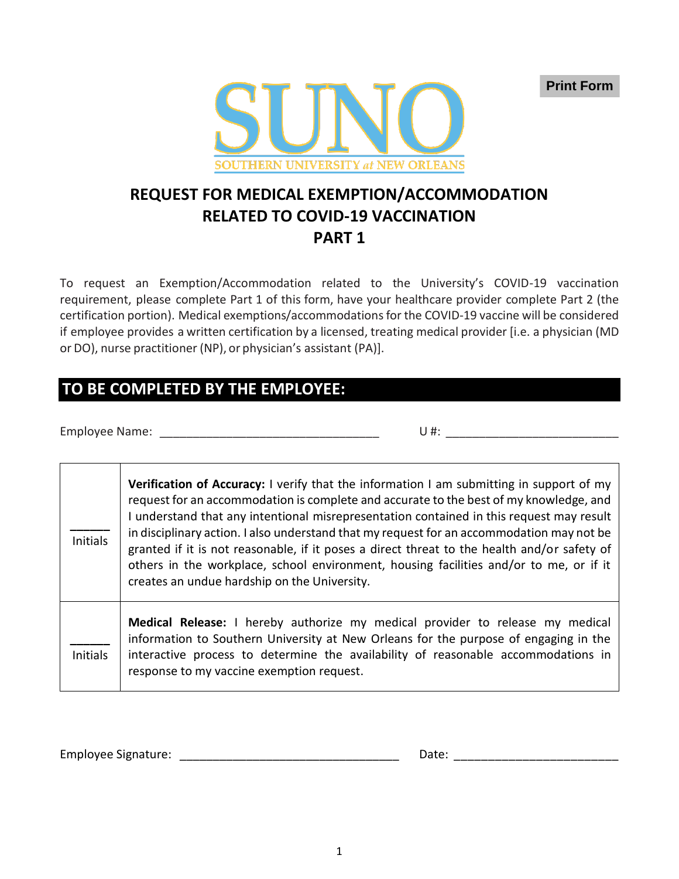**Print Form**



# **REQUEST FOR MEDICAL EXEMPTION/ACCOMMODATION RELATED TO COVID-19 VACCINATION PART 1**

To request an Exemption/Accommodation related to the University's COVID-19 vaccination requirement, please complete Part 1 of this form, have your healthcare provider complete Part 2 (the certification portion). Medical exemptions/accommodationsfor the COVID-19 vaccine will be considered if employee provides a written certification by a licensed, treating medical provider [i.e. a physician (MD or DO), nurse practitioner (NP), or physician's assistant (PA)].

# **TO BE COMPLETED BY THE EMPLOYEE:**

Employee Name: \_\_\_\_\_\_\_\_\_\_\_\_\_\_\_\_\_\_\_\_\_\_\_\_\_\_\_\_\_\_\_\_\_ U #: \_\_\_\_\_\_\_\_\_\_\_\_\_\_\_\_\_\_\_\_\_\_\_\_\_\_

 $\overline{\Gamma}$ 

| <b>Initials</b> | <b>Verification of Accuracy:</b> I verify that the information I am submitting in support of my<br>request for an accommodation is complete and accurate to the best of my knowledge, and<br>I understand that any intentional misrepresentation contained in this request may result<br>in disciplinary action. I also understand that my request for an accommodation may not be<br>granted if it is not reasonable, if it poses a direct threat to the health and/or safety of<br>others in the workplace, school environment, housing facilities and/or to me, or if it<br>creates an undue hardship on the University. |
|-----------------|-----------------------------------------------------------------------------------------------------------------------------------------------------------------------------------------------------------------------------------------------------------------------------------------------------------------------------------------------------------------------------------------------------------------------------------------------------------------------------------------------------------------------------------------------------------------------------------------------------------------------------|
| <b>Initials</b> | Medical Release: I hereby authorize my medical provider to release my medical<br>information to Southern University at New Orleans for the purpose of engaging in the<br>interactive process to determine the availability of reasonable accommodations in<br>response to my vaccine exemption request.                                                                                                                                                                                                                                                                                                                     |

Employee Signature: \_\_\_\_\_\_\_\_\_\_\_\_\_\_\_\_\_\_\_\_\_\_\_\_\_\_\_\_\_\_\_\_\_ Date: \_\_\_\_\_\_\_\_\_\_\_\_\_\_\_\_\_\_\_\_\_\_\_\_